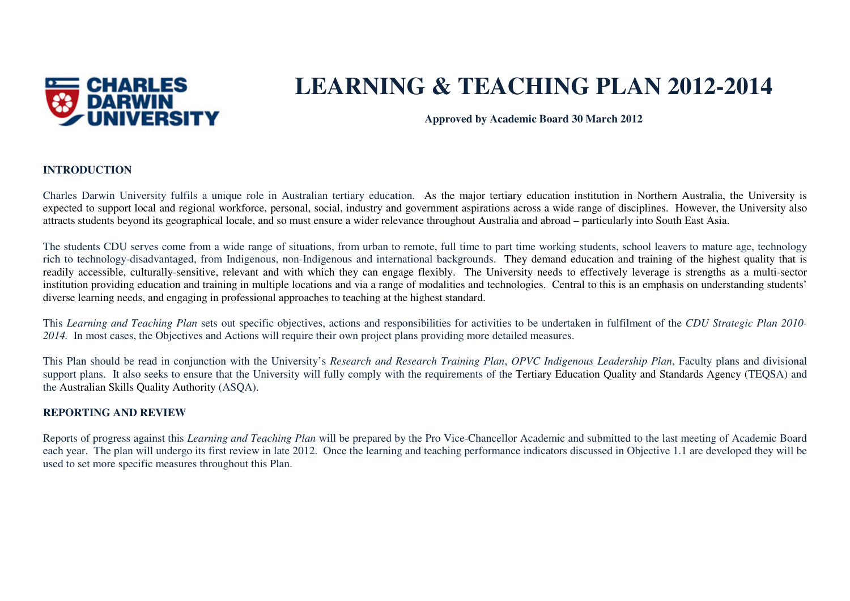

# **LEARNING & TEACHING PLAN 2012-2014**

**Approved by Academic Board 30 March 2012** 

#### **INTRODUCTION**

Charles Darwin University fulfils a unique role in Australian tertiary education. As the major tertiary education institution in Northern Australia, the University is expected to support local and regional workforce, personal, social, industry and government aspirations across a wide range of disciplines. However, the University also attracts students beyond its geographical locale, and so must ensure a wider relevance throughout Australia and abroad – particularly into South East Asia.

The students CDU serves come from a wide range of situations, from urban to remote, full time to part time working students, school leavers to mature age, technology rich to technology-disadvantaged, from Indigenous, non-Indigenous and international backgrounds. They demand education and training of the highest quality that is readily accessible, culturally-sensitive, relevant and with which they can engage flexibly. The University needs to effectively leverage is strengths as a multi-sector institution providing education and training in multiple locations and via a range of modalities and technologies. Central to this is an emphasis on understanding students' diverse learning needs, and engaging in professional approaches to teaching at the highest standard.

This *Learning and Teaching Plan* sets out specific objectives, actions and responsibilities for activities to be undertaken in fulfilment of the *CDU Strategic Plan 2010-2014.* In most cases, the Objectives and Actions will require their own project plans providing more detailed measures.

This Plan should be read in conjunction with the University's *Research and Research Training Plan*, *OPVC Indigenous Leadership Plan*, Faculty plans and divisional support plans. It also seeks to ensure that the University will fully comply with the requirements of the Tertiary Education Quality and Standards Agency (TEQSA) and the Australian Skills Quality Authority (ASQA).

#### **REPORTING AND REVIEW**

Reports of progress against this *Learning and Teaching Plan* will be prepared by the Pro Vice-Chancellor Academic and submitted to the last meeting of Academic Board each year. The plan will undergo its first review in late 2012. Once the learning and teaching performance indicators discussed in Objective 1.1 are developed they will be used to set more specific measures throughout this Plan.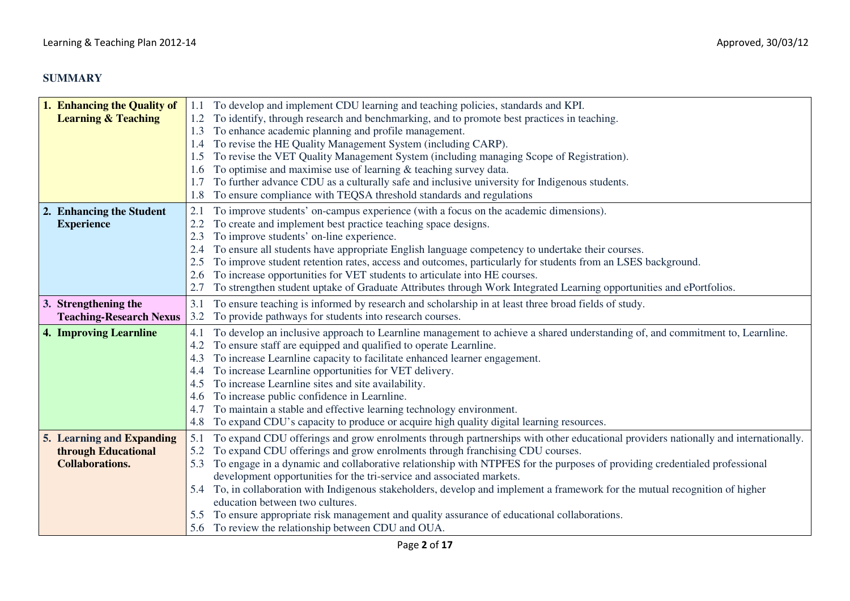# **SUMMARY**

| 1. Enhancing the Quality of    | 1.1 | To develop and implement CDU learning and teaching policies, standards and KPI.                                                   |
|--------------------------------|-----|-----------------------------------------------------------------------------------------------------------------------------------|
| <b>Learning &amp; Teaching</b> |     | To identify, through research and benchmarking, and to promote best practices in teaching.                                        |
|                                | 1.3 | To enhance academic planning and profile management.                                                                              |
|                                |     | To revise the HE Quality Management System (including CARP).                                                                      |
|                                | 1.5 | To revise the VET Quality Management System (including managing Scope of Registration).                                           |
|                                | 1.6 | To optimise and maximise use of learning $\&$ teaching survey data.                                                               |
|                                | 1.7 | To further advance CDU as a culturally safe and inclusive university for Indigenous students.                                     |
|                                |     | To ensure compliance with TEQSA threshold standards and regulations                                                               |
| 2. Enhancing the Student       | 2.1 | To improve students' on-campus experience (with a focus on the academic dimensions).                                              |
| <b>Experience</b>              |     | To create and implement best practice teaching space designs.                                                                     |
|                                | 2.3 | To improve students' on-line experience.                                                                                          |
|                                | 2.4 | To ensure all students have appropriate English language competency to undertake their courses.                                   |
|                                | 2.5 | To improve student retention rates, access and outcomes, particularly for students from an LSES background.                       |
|                                | 2.6 | To increase opportunities for VET students to articulate into HE courses.                                                         |
|                                | 2.7 | To strengthen student uptake of Graduate Attributes through Work Integrated Learning opportunities and ePortfolios.               |
| 3. Strengthening the           | 3.1 | To ensure teaching is informed by research and scholarship in at least three broad fields of study.                               |
| <b>Teaching-Research Nexus</b> | 3.2 | To provide pathways for students into research courses.                                                                           |
| <b>4. Improving Learnline</b>  | 4.1 | To develop an inclusive approach to Learnline management to achieve a shared understanding of, and commitment to, Learnline.      |
|                                | 4.2 | To ensure staff are equipped and qualified to operate Learnline.                                                                  |
|                                | 4.3 | To increase Learnline capacity to facilitate enhanced learner engagement.                                                         |
|                                | 4.4 | To increase Learnline opportunities for VET delivery.                                                                             |
|                                | 4.5 | To increase Learnline sites and site availability.                                                                                |
|                                | 4.6 | To increase public confidence in Learnline.                                                                                       |
|                                | 4.7 | To maintain a stable and effective learning technology environment.                                                               |
|                                | 4.8 | To expand CDU's capacity to produce or acquire high quality digital learning resources.                                           |
| 5. Learning and Expanding      | 5.1 | To expand CDU offerings and grow enrolments through partnerships with other educational providers nationally and internationally. |
| through Educational            | 5.2 | To expand CDU offerings and grow enrolments through franchising CDU courses.                                                      |
| <b>Collaborations.</b>         | 5.3 | To engage in a dynamic and collaborative relationship with NTPFES for the purposes of providing credentialed professional         |
|                                |     | development opportunities for the tri-service and associated markets.                                                             |
|                                | 5.4 | To, in collaboration with Indigenous stakeholders, develop and implement a framework for the mutual recognition of higher         |
|                                |     | education between two cultures.                                                                                                   |
|                                |     | 5.5 To ensure appropriate risk management and quality assurance of educational collaborations.                                    |
|                                |     | 5.6 To review the relationship between CDU and OUA.                                                                               |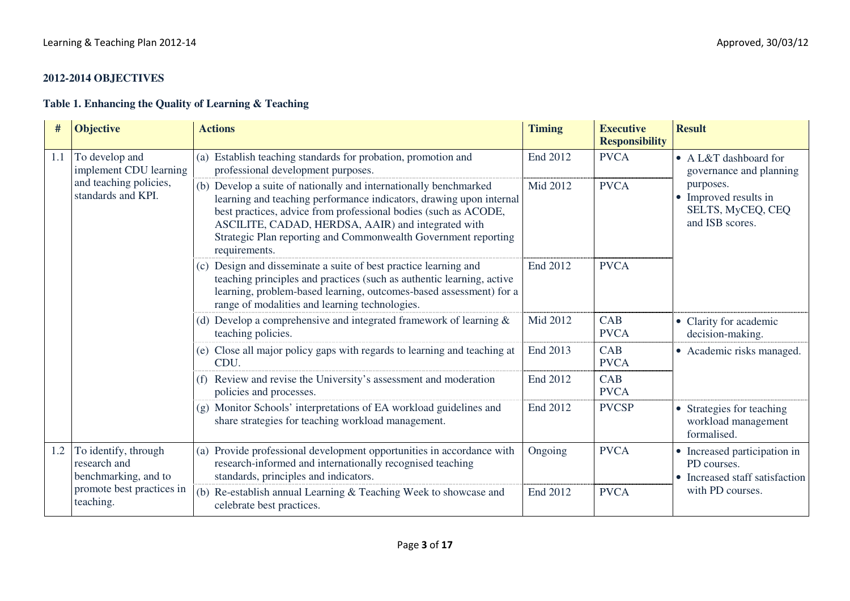## **2012-2014 OBJECTIVES**

## **Table 1. Enhancing the Quality of Learning & Teaching**

| $\#$ | <b>Objective</b>                                             | <b>Actions</b>                                                                                                                                                                                                                                                                                                                                       | <b>Timing</b> | <b>Executive</b><br><b>Responsibility</b> | <b>Result</b>                                                                 |
|------|--------------------------------------------------------------|------------------------------------------------------------------------------------------------------------------------------------------------------------------------------------------------------------------------------------------------------------------------------------------------------------------------------------------------------|---------------|-------------------------------------------|-------------------------------------------------------------------------------|
| 1.1  | To develop and<br>implement CDU learning                     | (a) Establish teaching standards for probation, promotion and<br>professional development purposes.                                                                                                                                                                                                                                                  | End 2012      | <b>PVCA</b>                               | • A L&T dashboard for<br>governance and planning                              |
|      | and teaching policies,<br>standards and KPI.                 | (b) Develop a suite of nationally and internationally benchmarked<br>learning and teaching performance indicators, drawing upon internal<br>best practices, advice from professional bodies (such as ACODE,<br>ASCILITE, CADAD, HERDSA, AAIR) and integrated with<br>Strategic Plan reporting and Commonwealth Government reporting<br>requirements. | Mid 2012      | <b>PVCA</b>                               | purposes.<br>• Improved results in<br>SELTS, MyCEQ, CEQ<br>and ISB scores.    |
|      |                                                              | (c) Design and disseminate a suite of best practice learning and<br>teaching principles and practices (such as authentic learning, active<br>learning, problem-based learning, outcomes-based assessment) for a<br>range of modalities and learning technologies.                                                                                    | End 2012      | <b>PVCA</b>                               |                                                                               |
|      |                                                              | (d) Develop a comprehensive and integrated framework of learning $\&$<br>teaching policies.                                                                                                                                                                                                                                                          | Mid 2012      | CAB<br><b>PVCA</b>                        | • Clarity for academic<br>decision-making.                                    |
|      |                                                              | (e) Close all major policy gaps with regards to learning and teaching at<br>CDU.                                                                                                                                                                                                                                                                     | End 2013      | CAB<br><b>PVCA</b>                        | • Academic risks managed.                                                     |
|      |                                                              | (f) Review and revise the University's assessment and moderation<br>policies and processes.                                                                                                                                                                                                                                                          | End 2012      | CAB<br><b>PVCA</b>                        |                                                                               |
|      |                                                              | (g) Monitor Schools' interpretations of EA workload guidelines and<br>share strategies for teaching workload management.                                                                                                                                                                                                                             | End 2012      | <b>PVCSP</b>                              | • Strategies for teaching<br>workload management<br>formalised.               |
| 1.2  | To identify, through<br>research and<br>benchmarking, and to | Provide professional development opportunities in accordance with<br>(a)<br>research-informed and internationally recognised teaching<br>standards, principles and indicators.                                                                                                                                                                       | Ongoing       | <b>PVCA</b>                               | • Increased participation in<br>PD courses.<br>• Increased staff satisfaction |
|      | promote best practices in<br>teaching.                       | Re-establish annual Learning & Teaching Week to showcase and<br>(b)<br>celebrate best practices.                                                                                                                                                                                                                                                     | End 2012      | <b>PVCA</b>                               | with PD courses.                                                              |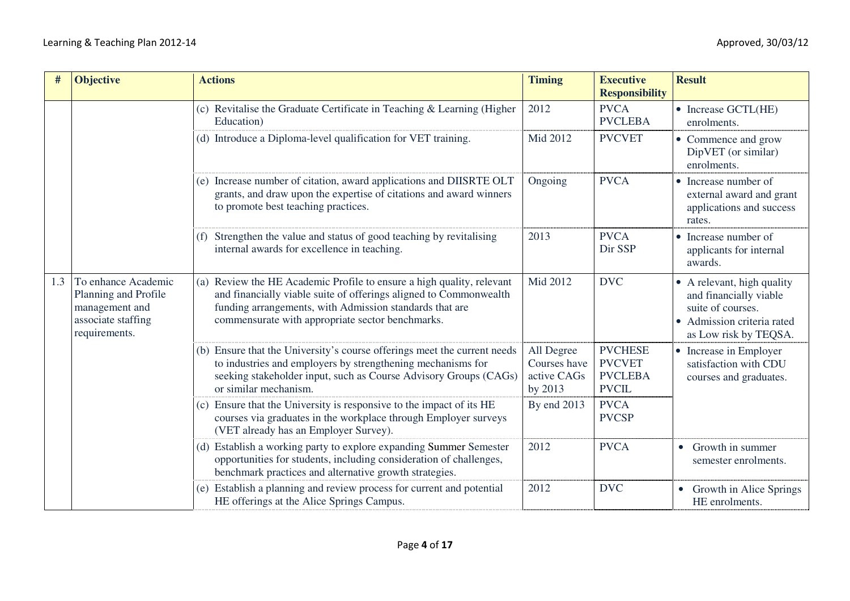| #   | <b>Objective</b>                                                                                     | <b>Actions</b>                                                                                                                                                                                                                                               | <b>Timing</b>                                        | <b>Executive</b><br><b>Responsibility</b>                         | <b>Result</b>                                                                                                                  |
|-----|------------------------------------------------------------------------------------------------------|--------------------------------------------------------------------------------------------------------------------------------------------------------------------------------------------------------------------------------------------------------------|------------------------------------------------------|-------------------------------------------------------------------|--------------------------------------------------------------------------------------------------------------------------------|
|     |                                                                                                      | (c) Revitalise the Graduate Certificate in Teaching & Learning (Higher<br>Education)                                                                                                                                                                         | 2012                                                 | <b>PVCA</b><br><b>PVCLEBA</b>                                     | • Increase GCTL(HE)<br>enrolments.                                                                                             |
|     |                                                                                                      | (d) Introduce a Diploma-level qualification for VET training.                                                                                                                                                                                                | Mid 2012                                             | <b>PVCVET</b>                                                     | • Commence and grow<br>DipVET (or similar)<br>enrolments.                                                                      |
|     |                                                                                                      | (e) Increase number of citation, award applications and DIISRTE OLT<br>grants, and draw upon the expertise of citations and award winners<br>to promote best teaching practices.                                                                             | Ongoing                                              | <b>PVCA</b>                                                       | • Increase number of<br>external award and grant<br>applications and success<br>rates.                                         |
|     |                                                                                                      | (f) Strengthen the value and status of good teaching by revitalising<br>internal awards for excellence in teaching.                                                                                                                                          | 2013                                                 | <b>PVCA</b><br>Dir SSP                                            | • Increase number of<br>applicants for internal<br>awards.                                                                     |
| 1.3 | To enhance Academic<br>Planning and Profile<br>management and<br>associate staffing<br>requirements. | Review the HE Academic Profile to ensure a high quality, relevant<br>(a)<br>and financially viable suite of offerings aligned to Commonwealth<br>funding arrangements, with Admission standards that are<br>commensurate with appropriate sector benchmarks. | Mid 2012                                             | <b>DVC</b>                                                        | • A relevant, high quality<br>and financially viable<br>suite of courses.<br>Admission criteria rated<br>as Low risk by TEQSA. |
|     |                                                                                                      | (b) Ensure that the University's course offerings meet the current needs<br>to industries and employers by strengthening mechanisms for<br>seeking stakeholder input, such as Course Advisory Groups (CAGs)<br>or similar mechanism.                         | All Degree<br>Courses have<br>active CAGs<br>by 2013 | <b>PVCHESE</b><br><b>PVCVET</b><br><b>PVCLEBA</b><br><b>PVCIL</b> | • Increase in Employer<br>satisfaction with CDU<br>courses and graduates.                                                      |
|     |                                                                                                      | Ensure that the University is responsive to the impact of its HE<br>(c)<br>courses via graduates in the workplace through Employer surveys<br>(VET already has an Employer Survey).                                                                          | By end 2013                                          | <b>PVCA</b><br><b>PVCSP</b>                                       |                                                                                                                                |
|     |                                                                                                      | (d) Establish a working party to explore expanding Summer Semester<br>opportunities for students, including consideration of challenges,<br>benchmark practices and alternative growth strategies.                                                           | 2012                                                 | <b>PVCA</b>                                                       | • Growth in summer<br>semester enrolments.                                                                                     |
|     |                                                                                                      | Establish a planning and review process for current and potential<br>(e)<br>HE offerings at the Alice Springs Campus.                                                                                                                                        | 2012                                                 | <b>DVC</b>                                                        | <b>Growth in Alice Springs</b><br>HE enrolments.                                                                               |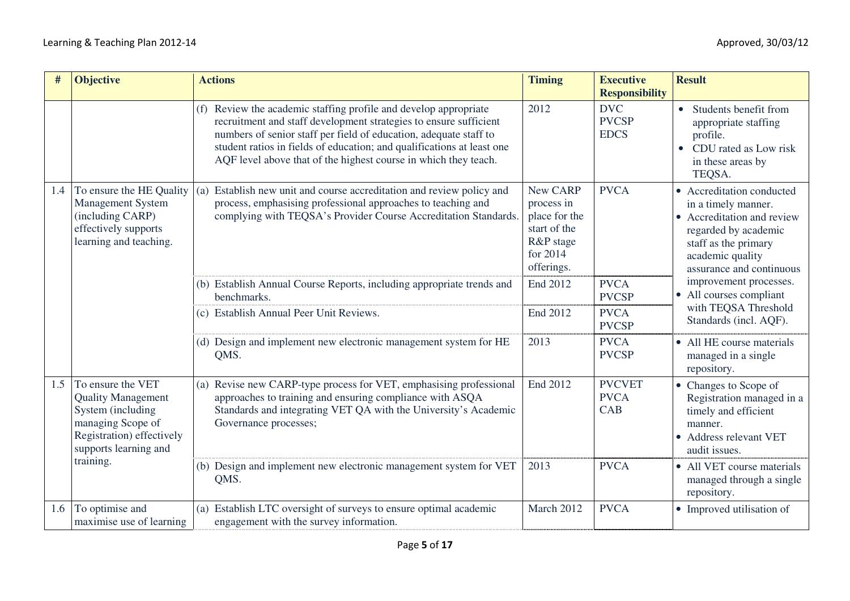|     | <b>Objective</b>                                                                                                                                            | <b>Actions</b>                                                                                                                                                                                                                                                                                                                                          | <b>Timing</b>                                                                                  | <b>Executive</b><br><b>Responsibility</b>  | <b>Result</b>                                                                                                                                                                  |
|-----|-------------------------------------------------------------------------------------------------------------------------------------------------------------|---------------------------------------------------------------------------------------------------------------------------------------------------------------------------------------------------------------------------------------------------------------------------------------------------------------------------------------------------------|------------------------------------------------------------------------------------------------|--------------------------------------------|--------------------------------------------------------------------------------------------------------------------------------------------------------------------------------|
|     |                                                                                                                                                             | (f) Review the academic staffing profile and develop appropriate<br>recruitment and staff development strategies to ensure sufficient<br>numbers of senior staff per field of education, adequate staff to<br>student ratios in fields of education; and qualifications at least one<br>AQF level above that of the highest course in which they teach. | 2012                                                                                           | <b>DVC</b><br><b>PVCSP</b><br><b>EDCS</b>  | Students benefit from<br>$\bullet$<br>appropriate staffing<br>profile.<br>CDU rated as Low risk<br>$\bullet$<br>in these areas by<br>TEQSA.                                    |
| 1.4 | To ensure the HE Quality<br>Management System<br>(including CARP)<br>effectively supports<br>learning and teaching.                                         | (a) Establish new unit and course accreditation and review policy and<br>process, emphasising professional approaches to teaching and<br>complying with TEQSA's Provider Course Accreditation Standards.                                                                                                                                                | New CARP<br>process in<br>place for the<br>start of the<br>R&P stage<br>for 2014<br>offerings. | <b>PVCA</b>                                | • Accreditation conducted<br>in a timely manner.<br>• Accreditation and review<br>regarded by academic<br>staff as the primary<br>academic quality<br>assurance and continuous |
|     |                                                                                                                                                             | (b) Establish Annual Course Reports, including appropriate trends and<br>benchmarks.                                                                                                                                                                                                                                                                    | End 2012                                                                                       | <b>PVCA</b><br><b>PVCSP</b>                | improvement processes.<br>• All courses compliant                                                                                                                              |
|     |                                                                                                                                                             | (c) Establish Annual Peer Unit Reviews.                                                                                                                                                                                                                                                                                                                 | End 2012                                                                                       | <b>PVCA</b><br><b>PVCSP</b>                | with TEQSA Threshold<br>Standards (incl. AQF).                                                                                                                                 |
|     |                                                                                                                                                             | (d) Design and implement new electronic management system for HE<br>QMS.                                                                                                                                                                                                                                                                                | 2013                                                                                           | <b>PVCA</b><br><b>PVCSP</b>                | • All HE course materials<br>managed in a single<br>repository.                                                                                                                |
| 1.5 | To ensure the VET<br><b>Quality Management</b><br>System (including<br>managing Scope of<br>Registration) effectively<br>supports learning and<br>training. | Revise new CARP-type process for VET, emphasising professional<br>(a)<br>approaches to training and ensuring compliance with ASQA<br>Standards and integrating VET QA with the University's Academic<br>Governance processes;                                                                                                                           | End 2012                                                                                       | <b>PVCVET</b><br><b>PVCA</b><br><b>CAB</b> | • Changes to Scope of<br>Registration managed in a<br>timely and efficient<br>manner.<br>• Address relevant VET<br>audit issues.                                               |
|     |                                                                                                                                                             | (b) Design and implement new electronic management system for VET<br>QMS.                                                                                                                                                                                                                                                                               | 2013                                                                                           | <b>PVCA</b>                                | • All VET course materials<br>managed through a single<br>repository.                                                                                                          |
| 1.6 | To optimise and<br>maximise use of learning                                                                                                                 | (a) Establish LTC oversight of surveys to ensure optimal academic<br>engagement with the survey information.                                                                                                                                                                                                                                            | March 2012                                                                                     | <b>PVCA</b>                                | • Improved utilisation of                                                                                                                                                      |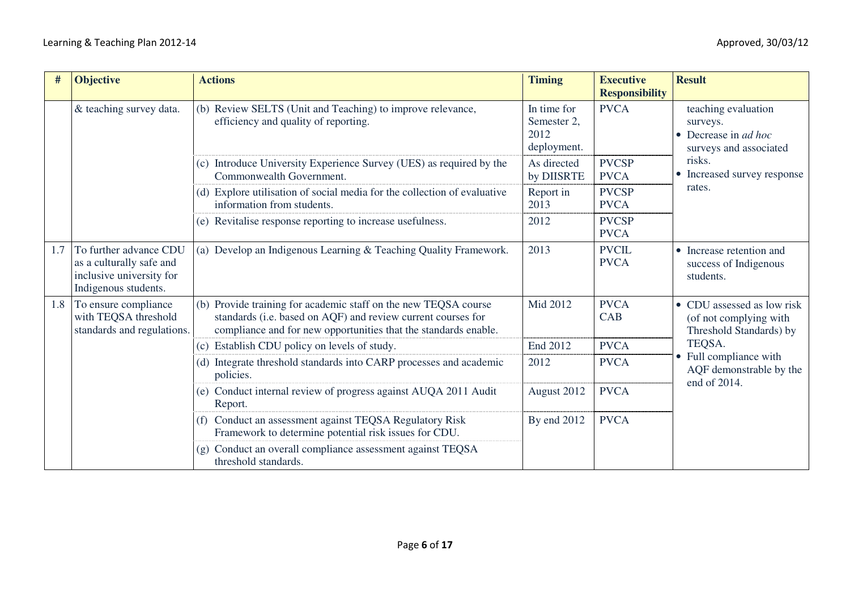| #   | <b>Objective</b>                                                                                       | <b>Actions</b>                                                                                                                                                                                     | <b>Timing</b>                                     | <b>Executive</b><br><b>Responsibility</b> | <b>Result</b>                                                                                    |
|-----|--------------------------------------------------------------------------------------------------------|----------------------------------------------------------------------------------------------------------------------------------------------------------------------------------------------------|---------------------------------------------------|-------------------------------------------|--------------------------------------------------------------------------------------------------|
|     | & teaching survey data.                                                                                | (b) Review SELTS (Unit and Teaching) to improve relevance,<br>efficiency and quality of reporting.                                                                                                 | In time for<br>Semester 2,<br>2012<br>deployment. | <b>PVCA</b>                               | teaching evaluation<br>surveys.<br>$\bullet$ Decrease in <i>ad hoc</i><br>surveys and associated |
|     |                                                                                                        | (c) Introduce University Experience Survey (UES) as required by the<br>Commonwealth Government.                                                                                                    | As directed<br>by DIISRTE                         | <b>PVCSP</b><br><b>PVCA</b>               | risks.<br>• Increased survey response                                                            |
|     |                                                                                                        | (d) Explore utilisation of social media for the collection of evaluative<br>information from students.                                                                                             | Report in<br>2013                                 | <b>PVCSP</b><br><b>PVCA</b>               | rates.                                                                                           |
|     |                                                                                                        | (e) Revitalise response reporting to increase usefulness.                                                                                                                                          | 2012                                              | <b>PVCSP</b><br><b>PVCA</b>               |                                                                                                  |
| 1.7 | To further advance CDU<br>as a culturally safe and<br>inclusive university for<br>Indigenous students. | (a) Develop an Indigenous Learning & Teaching Quality Framework.                                                                                                                                   | 2013                                              | <b>PVCIL</b><br><b>PVCA</b>               | • Increase retention and<br>success of Indigenous<br>students.                                   |
| 1.8 | To ensure compliance<br>with TEQSA threshold<br>standards and regulations.                             | (b) Provide training for academic staff on the new TEQSA course<br>standards (i.e. based on AQF) and review current courses for<br>compliance and for new opportunities that the standards enable. | Mid 2012                                          | <b>PVCA</b><br>CAB                        | • CDU assessed as low risk<br>(of not complying with<br>Threshold Standards) by                  |
|     |                                                                                                        | (c) Establish CDU policy on levels of study.                                                                                                                                                       | End 2012                                          | <b>PVCA</b>                               | TEQSA.                                                                                           |
|     |                                                                                                        | (d) Integrate threshold standards into CARP processes and academic<br>policies.                                                                                                                    | 2012                                              | <b>PVCA</b>                               | • Full compliance with<br>AQF demonstrable by the<br>end of 2014.                                |
|     |                                                                                                        | (e) Conduct internal review of progress against AUQA 2011 Audit<br>Report.                                                                                                                         | August 2012                                       | <b>PVCA</b>                               |                                                                                                  |
|     |                                                                                                        | (f) Conduct an assessment against TEQSA Regulatory Risk<br>Framework to determine potential risk issues for CDU.                                                                                   | By end 2012                                       | <b>PVCA</b>                               |                                                                                                  |
|     |                                                                                                        | (g) Conduct an overall compliance assessment against TEQSA<br>threshold standards.                                                                                                                 |                                                   |                                           |                                                                                                  |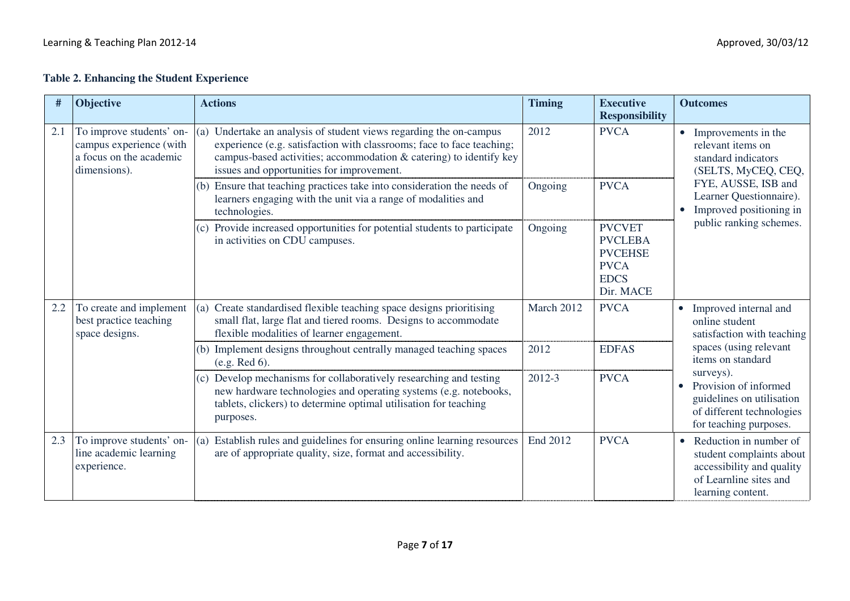#### **Table 2. Enhancing the Student Experience**

| #   | Objective                                                                                      | <b>Actions</b>                                                                                                                                                                                                                                                    | <b>Timing</b> | <b>Executive</b><br><b>Responsibility</b>                                                    | <b>Outcomes</b>                                                                                                                             |
|-----|------------------------------------------------------------------------------------------------|-------------------------------------------------------------------------------------------------------------------------------------------------------------------------------------------------------------------------------------------------------------------|---------------|----------------------------------------------------------------------------------------------|---------------------------------------------------------------------------------------------------------------------------------------------|
| 2.1 | To improve students' on-<br>campus experience (with<br>a focus on the academic<br>dimensions). | Undertake an analysis of student views regarding the on-campus<br>(a)<br>experience (e.g. satisfaction with classrooms; face to face teaching;<br>campus-based activities; accommodation & catering) to identify key<br>issues and opportunities for improvement. | 2012          | <b>PVCA</b>                                                                                  | • Improvements in the<br>relevant items on<br>standard indicators<br>(SELTS, MyCEQ, CEQ,                                                    |
|     |                                                                                                | (b) Ensure that teaching practices take into consideration the needs of<br>learners engaging with the unit via a range of modalities and<br>technologies.                                                                                                         | Ongoing       | <b>PVCA</b>                                                                                  | FYE, AUSSE, ISB and<br>Learner Questionnaire).<br>Improved positioning in                                                                   |
|     |                                                                                                | (c) Provide increased opportunities for potential students to participate<br>in activities on CDU campuses.                                                                                                                                                       | Ongoing       | <b>PVCVET</b><br><b>PVCLEBA</b><br><b>PVCEHSE</b><br><b>PVCA</b><br><b>EDCS</b><br>Dir. MACE | public ranking schemes.                                                                                                                     |
| 2.2 | To create and implement<br>best practice teaching<br>space designs.                            | Create standardised flexible teaching space designs prioritising<br>(a)<br>small flat, large flat and tiered rooms. Designs to accommodate<br>flexible modalities of learner engagement.                                                                          | March 2012    | <b>PVCA</b>                                                                                  | • Improved internal and<br>online student<br>satisfaction with teaching                                                                     |
|     |                                                                                                | (b) Implement designs throughout centrally managed teaching spaces<br>(e.g. Red 6).                                                                                                                                                                               | 2012          | <b>EDFAS</b>                                                                                 | spaces (using relevant<br>items on standard                                                                                                 |
|     |                                                                                                | (c) Develop mechanisms for collaboratively researching and testing<br>new hardware technologies and operating systems (e.g. notebooks,<br>tablets, clickers) to determine optimal utilisation for teaching<br>purposes.                                           | 2012-3        | <b>PVCA</b>                                                                                  | surveys).<br>Provision of informed<br>$\bullet$<br>guidelines on utilisation<br>of different technologies<br>for teaching purposes.         |
| 2.3 | To improve students' on-<br>line academic learning<br>experience.                              | Establish rules and guidelines for ensuring online learning resources<br>(a)<br>are of appropriate quality, size, format and accessibility.                                                                                                                       | End 2012      | <b>PVCA</b>                                                                                  | Reduction in number of<br>$\bullet$<br>student complaints about<br>accessibility and quality<br>of Learnline sites and<br>learning content. |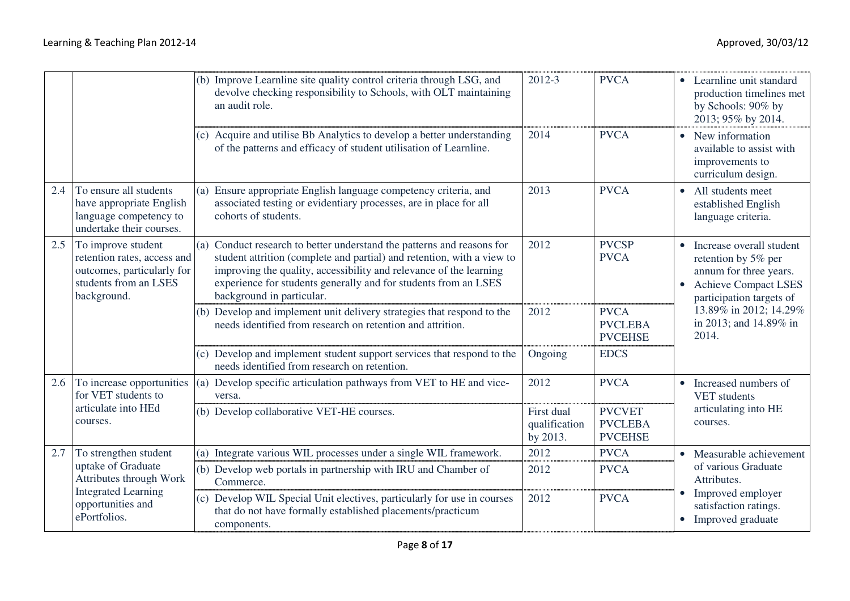|     |                                                                                                                         | (b) Improve Learnline site quality control criteria through LSG, and<br>devolve checking responsibility to Schools, with OLT maintaining<br>an audit role.                                                                                                                                                                | 2012-3                                                                                                                                                  | <b>PVCA</b>                                       | • Learnline unit standard<br>production timelines met<br>by Schools: 90% by<br>2013; 95% by 2014.                                                   |                                                                                |
|-----|-------------------------------------------------------------------------------------------------------------------------|---------------------------------------------------------------------------------------------------------------------------------------------------------------------------------------------------------------------------------------------------------------------------------------------------------------------------|---------------------------------------------------------------------------------------------------------------------------------------------------------|---------------------------------------------------|-----------------------------------------------------------------------------------------------------------------------------------------------------|--------------------------------------------------------------------------------|
|     |                                                                                                                         | (c) Acquire and utilise Bb Analytics to develop a better understanding<br>of the patterns and efficacy of student utilisation of Learnline.                                                                                                                                                                               | 2014                                                                                                                                                    | <b>PVCA</b>                                       | • New information<br>available to assist with<br>improvements to<br>curriculum design.                                                              |                                                                                |
| 2.4 | To ensure all students<br>have appropriate English<br>language competency to<br>undertake their courses.                | Ensure appropriate English language competency criteria, and<br>(a)<br>associated testing or evidentiary processes, are in place for all<br>cohorts of students.                                                                                                                                                          | 2013                                                                                                                                                    | <b>PVCA</b>                                       | • All students meet<br>established English<br>language criteria.                                                                                    |                                                                                |
| 2.5 | To improve student<br>retention rates, access and<br>outcomes, particularly for<br>students from an LSES<br>background. | Conduct research to better understand the patterns and reasons for<br>(a)<br>student attrition (complete and partial) and retention, with a view to<br>improving the quality, accessibility and relevance of the learning<br>experience for students generally and for students from an LSES<br>background in particular. | 2012                                                                                                                                                    | <b>PVCSP</b><br><b>PVCA</b>                       | • Increase overall student<br>retention by 5% per<br>annum for three years.<br><b>Achieve Compact LSES</b><br>$\bullet$<br>participation targets of |                                                                                |
|     |                                                                                                                         | (b) Develop and implement unit delivery strategies that respond to the<br>needs identified from research on retention and attrition.                                                                                                                                                                                      | 2012                                                                                                                                                    | <b>PVCA</b><br><b>PVCLEBA</b><br><b>PVCEHSE</b>   | 13.89% in 2012; 14.29%<br>in 2013; and 14.89% in<br>2014.                                                                                           |                                                                                |
|     |                                                                                                                         | (c) Develop and implement student support services that respond to the<br>needs identified from research on retention.                                                                                                                                                                                                    | Ongoing                                                                                                                                                 | <b>EDCS</b>                                       |                                                                                                                                                     |                                                                                |
| 2.6 | To increase opportunities<br>for VET students to                                                                        | (a) Develop specific articulation pathways from VET to HE and vice-<br>versa.                                                                                                                                                                                                                                             | 2012                                                                                                                                                    | <b>PVCA</b>                                       | • Increased numbers of<br>VET students                                                                                                              |                                                                                |
|     | articulate into HEd<br>courses.                                                                                         | (b) Develop collaborative VET-HE courses.                                                                                                                                                                                                                                                                                 | First dual<br>qualification<br>by 2013.                                                                                                                 | <b>PVCVET</b><br><b>PVCLEBA</b><br><b>PVCEHSE</b> | articulating into HE<br>courses.                                                                                                                    |                                                                                |
| 2.7 | To strengthen student                                                                                                   | Integrate various WIL processes under a single WIL framework.<br>(a)                                                                                                                                                                                                                                                      | 2012                                                                                                                                                    | <b>PVCA</b>                                       | • Measurable achievement                                                                                                                            |                                                                                |
|     | uptake of Graduate<br>Attributes through Work                                                                           | (b) Develop web portals in partnership with IRU and Chamber of<br>Commerce.                                                                                                                                                                                                                                               | 2012                                                                                                                                                    | <b>PVCA</b>                                       | of various Graduate<br>Attributes.                                                                                                                  |                                                                                |
|     | opportunities and<br>ePortfolios.                                                                                       | <b>Integrated Learning</b>                                                                                                                                                                                                                                                                                                | Develop WIL Special Unit electives, particularly for use in courses<br>(c)<br>that do not have formally established placements/practicum<br>components. | 2012                                              | <b>PVCA</b>                                                                                                                                         | Improved employer<br>$\bullet$<br>satisfaction ratings.<br>• Improved graduate |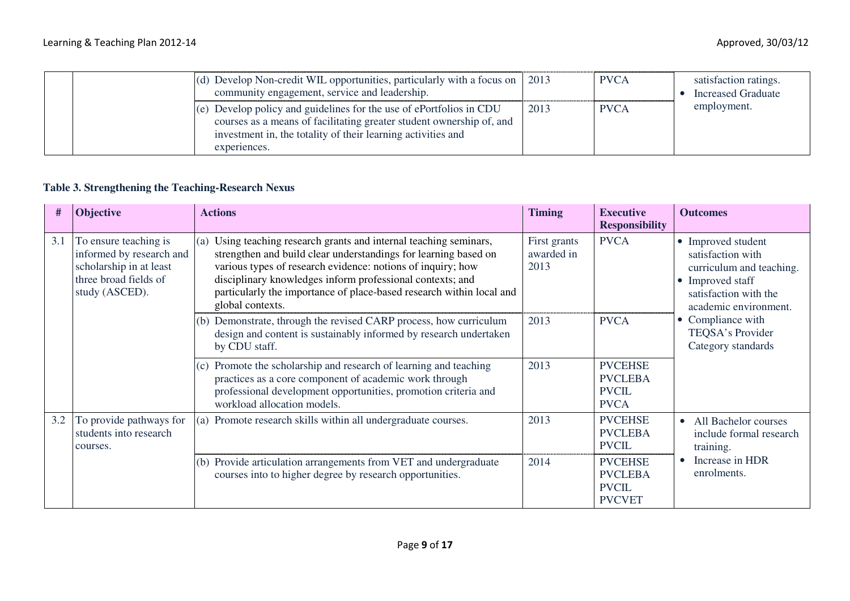| (d) Develop Non-credit WIL opportunities, particularly with a focus on $\vert$ 2013<br>community engagement, service and leadership.                                                                                        |      | <b>PVCA</b> | satisfaction ratings.<br><b>Increased Graduate</b> |
|-----------------------------------------------------------------------------------------------------------------------------------------------------------------------------------------------------------------------------|------|-------------|----------------------------------------------------|
| (e) Develop policy and guidelines for the use of ePortfolios in CDU<br>courses as a means of facilitating greater student ownership of, and<br>investment in, the totality of their learning activities and<br>experiences. | 2013 | <b>PVCA</b> | employment.                                        |

#### **Table 3. Strengthening the Teaching-Research Nexus**

| #   | <b>Objective</b>                                                                                                        | <b>Actions</b>                                                                                                                                                                                                                                                                                                                                                   | <b>Timing</b>                      | <b>Executive</b><br><b>Responsibility</b>                         | <b>Outcomes</b>                                                                                                                                                                                          |
|-----|-------------------------------------------------------------------------------------------------------------------------|------------------------------------------------------------------------------------------------------------------------------------------------------------------------------------------------------------------------------------------------------------------------------------------------------------------------------------------------------------------|------------------------------------|-------------------------------------------------------------------|----------------------------------------------------------------------------------------------------------------------------------------------------------------------------------------------------------|
| 3.1 | To ensure teaching is<br>informed by research and<br>scholarship in at least<br>three broad fields of<br>study (ASCED). | Using teaching research grants and internal teaching seminars,<br>(a)<br>strengthen and build clear understandings for learning based on<br>various types of research evidence: notions of inquiry; how<br>disciplinary knowledges inform professional contexts; and<br>particularly the importance of place-based research within local and<br>global contexts. | First grants<br>awarded in<br>2013 | <b>PVCA</b>                                                       | • Improved student<br>satisfaction with<br>curriculum and teaching.<br>• Improved staff<br>satisfaction with the<br>academic environment.<br>• Compliance with<br>TEQSA's Provider<br>Category standards |
|     |                                                                                                                         | (b) Demonstrate, through the revised CARP process, how curriculum<br>design and content is sustainably informed by research undertaken<br>by CDU staff.                                                                                                                                                                                                          | 2013                               | <b>PVCA</b>                                                       |                                                                                                                                                                                                          |
|     |                                                                                                                         | Promote the scholarship and research of learning and teaching<br>(c)<br>practices as a core component of academic work through<br>professional development opportunities, promotion criteria and<br>workload allocation models.                                                                                                                                  | 2013                               | <b>PVCEHSE</b><br><b>PVCLEBA</b><br><b>PVCIL</b><br><b>PVCA</b>   |                                                                                                                                                                                                          |
| 3.2 | To provide pathways for<br>students into research<br>courses.                                                           | (a) Promote research skills within all undergraduate courses.                                                                                                                                                                                                                                                                                                    | 2013                               | <b>PVCEHSE</b><br><b>PVCLEBA</b><br><b>PVCIL</b>                  | All Bachelor courses<br>include formal research<br>training.                                                                                                                                             |
|     |                                                                                                                         | (b) Provide articulation arrangements from VET and undergraduate<br>courses into to higher degree by research opportunities.                                                                                                                                                                                                                                     | 2014                               | <b>PVCEHSE</b><br><b>PVCLEBA</b><br><b>PVCIL</b><br><b>PVCVET</b> | Increase in HDR<br>enrolments.                                                                                                                                                                           |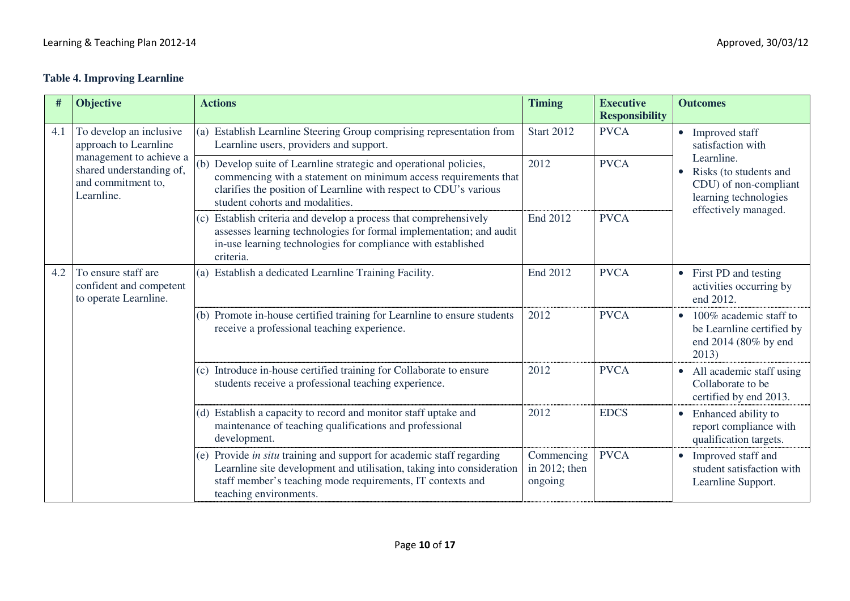## **Table 4. Improving Learnline**

| #   | Objective                                                                               | <b>Actions</b>                                                                                                                                                                                                                                | <b>Timing</b>                          | <b>Executive</b><br><b>Responsibility</b> | <b>Outcomes</b>                                                                                                             |
|-----|-----------------------------------------------------------------------------------------|-----------------------------------------------------------------------------------------------------------------------------------------------------------------------------------------------------------------------------------------------|----------------------------------------|-------------------------------------------|-----------------------------------------------------------------------------------------------------------------------------|
| 4.1 | To develop an inclusive<br>approach to Learnline                                        | (a) Establish Learnline Steering Group comprising representation from<br>Learnline users, providers and support.                                                                                                                              | <b>Start 2012</b>                      | <b>PVCA</b>                               | • Improved staff<br>satisfaction with                                                                                       |
|     | management to achieve a<br>shared understanding of,<br>and commitment to,<br>Learnline. | (b) Develop suite of Learnline strategic and operational policies,<br>commencing with a statement on minimum access requirements that<br>clarifies the position of Learnline with respect to CDU's various<br>student cohorts and modalities. | 2012                                   | <b>PVCA</b>                               | Learnline.<br>Risks (to students and<br>$\bullet$<br>CDU) of non-compliant<br>learning technologies<br>effectively managed. |
|     |                                                                                         | Establish criteria and develop a process that comprehensively<br>(c)<br>assesses learning technologies for formal implementation; and audit<br>in-use learning technologies for compliance with established<br>criteria.                      | End 2012                               | <b>PVCA</b>                               |                                                                                                                             |
| 4.2 | To ensure staff are<br>confident and competent<br>to operate Learnline.                 | (a) Establish a dedicated Learnline Training Facility.                                                                                                                                                                                        | End 2012                               | <b>PVCA</b>                               | • First PD and testing<br>activities occurring by<br>end 2012.                                                              |
|     |                                                                                         | (b) Promote in-house certified training for Learnline to ensure students<br>receive a professional teaching experience.                                                                                                                       | 2012                                   | <b>PVCA</b>                               | 100% academic staff to<br>$\bullet$<br>be Learnline certified by<br>end 2014 (80% by end<br>2013)                           |
|     |                                                                                         | (c) Introduce in-house certified training for Collaborate to ensure<br>students receive a professional teaching experience.                                                                                                                   | 2012                                   | <b>PVCA</b>                               | • All academic staff using<br>Collaborate to be<br>certified by end 2013.                                                   |
|     |                                                                                         | (d) Establish a capacity to record and monitor staff uptake and<br>maintenance of teaching qualifications and professional<br>development.                                                                                                    | 2012                                   | <b>EDCS</b>                               | Enhanced ability to<br>$\bullet$<br>report compliance with<br>qualification targets.                                        |
|     |                                                                                         | Provide in situ training and support for academic staff regarding<br>(e)<br>Learnline site development and utilisation, taking into consideration<br>staff member's teaching mode requirements, IT contexts and<br>teaching environments.     | Commencing<br>in 2012; then<br>ongoing | <b>PVCA</b>                               | • Improved staff and<br>student satisfaction with<br>Learnline Support.                                                     |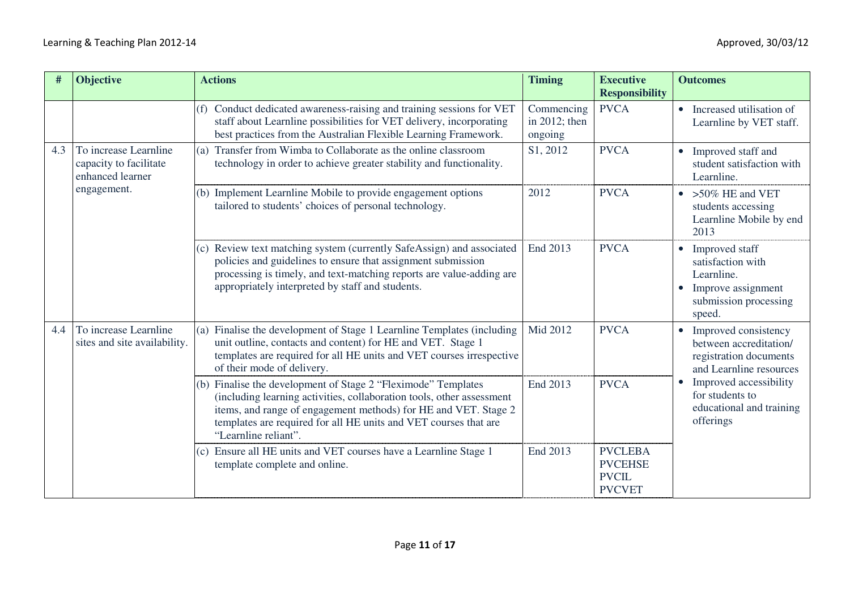| #   | <b>Objective</b>                                                    | <b>Actions</b>                                                                                                                                                                                                                                                                                        | <b>Timing</b>                          | <b>Executive</b><br><b>Responsibility</b>                         | <b>Outcomes</b>                                                                                              |
|-----|---------------------------------------------------------------------|-------------------------------------------------------------------------------------------------------------------------------------------------------------------------------------------------------------------------------------------------------------------------------------------------------|----------------------------------------|-------------------------------------------------------------------|--------------------------------------------------------------------------------------------------------------|
|     |                                                                     | (f) Conduct dedicated awareness-raising and training sessions for VET<br>staff about Learnline possibilities for VET delivery, incorporating<br>best practices from the Australian Flexible Learning Framework.                                                                                       | Commencing<br>in 2012; then<br>ongoing | <b>PVCA</b>                                                       | • Increased utilisation of<br>Learnline by VET staff.                                                        |
| 4.3 | To increase Learnline<br>capacity to facilitate<br>enhanced learner | Transfer from Wimba to Collaborate as the online classroom<br>(a)<br>technology in order to achieve greater stability and functionality.                                                                                                                                                              | S1, 2012                               | <b>PVCA</b>                                                       | • Improved staff and<br>student satisfaction with<br>Learnline.                                              |
|     | engagement.                                                         | (b) Implement Learnline Mobile to provide engagement options<br>tailored to students' choices of personal technology.                                                                                                                                                                                 | 2012                                   | <b>PVCA</b>                                                       | $\bullet$ > 50% HE and VET<br>students accessing<br>Learnline Mobile by end<br>2013                          |
|     |                                                                     | (c) Review text matching system (currently SafeAssign) and associated<br>policies and guidelines to ensure that assignment submission<br>processing is timely, and text-matching reports are value-adding are<br>appropriately interpreted by staff and students.                                     | End 2013                               | <b>PVCA</b>                                                       | • Improved staff<br>satisfaction with<br>Learnline.<br>Improve assignment<br>submission processing<br>speed. |
| 4.4 | To increase Learnline<br>sites and site availability.               | Finalise the development of Stage 1 Learnline Templates (including<br>(a)<br>unit outline, contacts and content) for HE and VET. Stage 1<br>templates are required for all HE units and VET courses irrespective<br>of their mode of delivery.                                                        | Mid 2012                               | <b>PVCA</b>                                                       | • Improved consistency<br>between accreditation/<br>registration documents<br>and Learnline resources        |
|     |                                                                     | (b) Finalise the development of Stage 2 "Fleximode" Templates<br>(including learning activities, collaboration tools, other assessment<br>items, and range of engagement methods) for HE and VET. Stage 2<br>templates are required for all HE units and VET courses that are<br>"Learnline reliant". | End 2013                               | <b>PVCA</b>                                                       | Improved accessibility<br>$\bullet$<br>for students to<br>educational and training<br>offerings              |
|     |                                                                     | (c) Ensure all HE units and VET courses have a Learnline Stage 1<br>template complete and online.                                                                                                                                                                                                     | End 2013                               | <b>PVCLEBA</b><br><b>PVCEHSE</b><br><b>PVCIL</b><br><b>PVCVET</b> |                                                                                                              |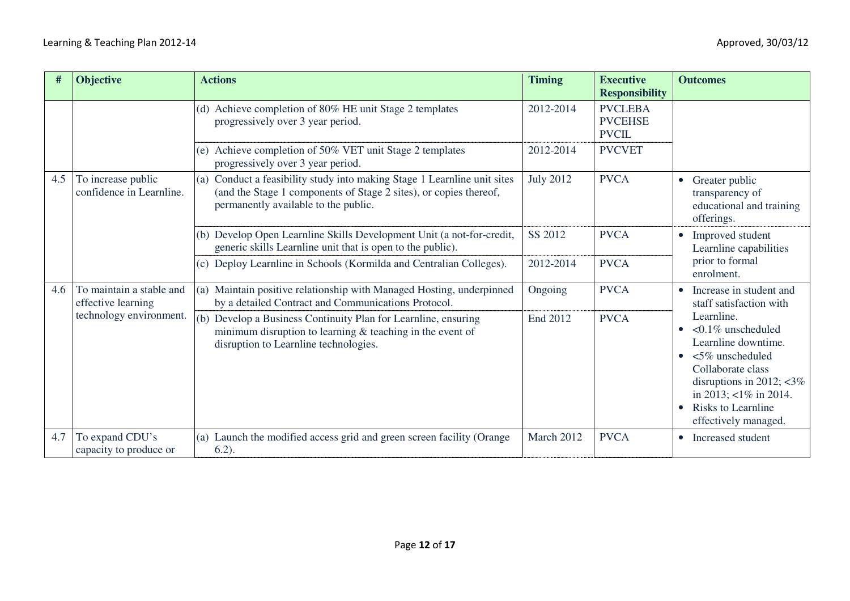| #   | <b>Objective</b>                               | <b>Actions</b>                                                                                                                                                                           | <b>Timing</b>    | <b>Executive</b><br><b>Responsibility</b>        | <b>Outcomes</b>                                                                                                                                                                                                                                                                                                     |
|-----|------------------------------------------------|------------------------------------------------------------------------------------------------------------------------------------------------------------------------------------------|------------------|--------------------------------------------------|---------------------------------------------------------------------------------------------------------------------------------------------------------------------------------------------------------------------------------------------------------------------------------------------------------------------|
|     |                                                | (d) Achieve completion of 80% HE unit Stage 2 templates<br>progressively over 3 year period.                                                                                             | 2012-2014        | <b>PVCLEBA</b><br><b>PVCEHSE</b><br><b>PVCIL</b> |                                                                                                                                                                                                                                                                                                                     |
|     |                                                | Achieve completion of 50% VET unit Stage 2 templates<br>(e)<br>progressively over 3 year period.                                                                                         | 2012-2014        | <b>PVCVET</b>                                    |                                                                                                                                                                                                                                                                                                                     |
| 4.5 | To increase public<br>confidence in Learnline. | Conduct a feasibility study into making Stage 1 Learnline unit sites<br>(a)<br>(and the Stage 1 components of Stage 2 sites), or copies thereof,<br>permanently available to the public. | <b>July 2012</b> | <b>PVCA</b>                                      | Greater public<br>$\bullet$<br>transparency of<br>educational and training<br>offerings.                                                                                                                                                                                                                            |
|     |                                                | (b) Develop Open Learnline Skills Development Unit (a not-for-credit,<br>generic skills Learnline unit that is open to the public).                                                      | SS 2012          | <b>PVCA</b>                                      | Improved student<br>$\bullet$<br>Learnline capabilities<br>prior to formal<br>enrolment.                                                                                                                                                                                                                            |
|     |                                                | (c) Deploy Learnline in Schools (Kormilda and Centralian Colleges).                                                                                                                      | 2012-2014        | <b>PVCA</b>                                      |                                                                                                                                                                                                                                                                                                                     |
| 4.6 | To maintain a stable and<br>effective learning | Maintain positive relationship with Managed Hosting, underpinned<br>(a)<br>by a detailed Contract and Communications Protocol.                                                           | Ongoing          | <b>PVCA</b>                                      | Increase in student and<br>$\bullet$<br>staff satisfaction with<br>Learnline.<br>$\leq 0.1\%$ unscheduled<br>$\bullet$<br>Learnline downtime.<br>$<5\%$ unscheduled<br>Collaborate class<br>disruptions in 2012; $\langle 3\% \rangle$<br>in 2013; $\lt 1\%$ in 2014.<br>Risks to Learnline<br>effectively managed. |
|     | technology environment.                        | Develop a Business Continuity Plan for Learnline, ensuring<br>(b)<br>minimum disruption to learning $\&$ teaching in the event of<br>disruption to Learnline technologies.               | End 2012         | <b>PVCA</b>                                      |                                                                                                                                                                                                                                                                                                                     |
| 4.7 | To expand CDU's<br>capacity to produce or      | (a) Launch the modified access grid and green screen facility (Orange<br>$6.2$ ).                                                                                                        | March 2012       | <b>PVCA</b>                                      | Increased student                                                                                                                                                                                                                                                                                                   |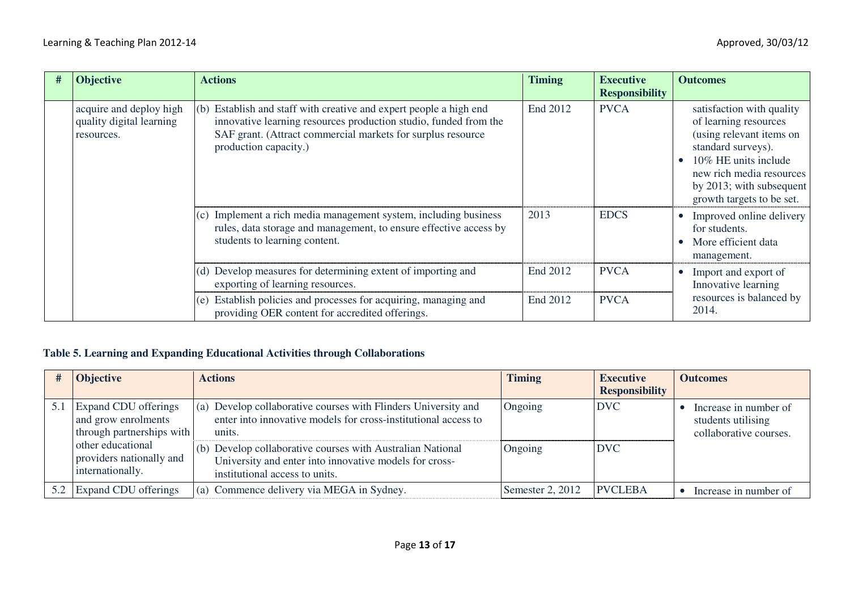| <b>Objective</b>                                                  | <b>Actions</b>                                                                                                                                                                                                                    | <b>Timing</b> | <b>Executive</b><br><b>Responsibility</b> | <b>Outcomes</b>                                                                                                                                                                                                    |
|-------------------------------------------------------------------|-----------------------------------------------------------------------------------------------------------------------------------------------------------------------------------------------------------------------------------|---------------|-------------------------------------------|--------------------------------------------------------------------------------------------------------------------------------------------------------------------------------------------------------------------|
| acquire and deploy high<br>quality digital learning<br>resources. | Establish and staff with creative and expert people a high end<br>(b)<br>innovative learning resources production studio, funded from the<br>SAF grant. (Attract commercial markets for surplus resource<br>production capacity.) | End 2012      | <b>PVCA</b>                               | satisfaction with quality<br>of learning resources<br>(using relevant items on<br>standard surveys).<br>10\% HE units include<br>new rich media resources<br>by 2013; with subsequent<br>growth targets to be set. |
|                                                                   | Implement a rich media management system, including business<br>(c)<br>rules, data storage and management, to ensure effective access by<br>students to learning content.                                                         | 2013          | <b>EDCS</b>                               | Improved online delivery<br>for students.<br>More efficient data<br>management.                                                                                                                                    |
|                                                                   | (d) Develop measures for determining extent of importing and<br>exporting of learning resources.                                                                                                                                  | End 2012      | <b>PVCA</b>                               | Import and export of<br>$\bullet$<br>Innovative learning<br>resources is balanced by<br>2014.                                                                                                                      |
|                                                                   | Establish policies and processes for acquiring, managing and<br>(e)<br>providing OER content for accredited offerings.                                                                                                            | End 2012      | <b>PVCA</b>                               |                                                                                                                                                                                                                    |

## **Table 5. Learning and Expanding Educational Activities through Collaborations**

|     | <b>Objective</b>                                                                                                                              | <b>Actions</b>                                                                                                                                                                                                                                                                                       | <b>Timing</b>      | <b>Executive</b><br><b>Responsibility</b> | <b>Outcomes</b>                                                       |
|-----|-----------------------------------------------------------------------------------------------------------------------------------------------|------------------------------------------------------------------------------------------------------------------------------------------------------------------------------------------------------------------------------------------------------------------------------------------------------|--------------------|-------------------------------------------|-----------------------------------------------------------------------|
| 5.1 | Expand CDU offerings<br>and grow enrolments<br>through partnerships with<br>other educational<br>providers nationally and<br>internationally. | (a) Develop collaborative courses with Flinders University and<br>enter into innovative models for cross-institutional access to<br>units.<br>(b) Develop collaborative courses with Australian National<br>University and enter into innovative models for cross-<br>institutional access to units. | Ongoing<br>Ongoing | <b>DVC</b><br><b>DVC</b>                  | Increase in number of<br>students utilising<br>collaborative courses. |
|     | 5.2 Expand CDU offerings                                                                                                                      | (a) Commence delivery via MEGA in Sydney.                                                                                                                                                                                                                                                            | Semester 2, 2012   | <b>PVCLEBA</b>                            | Increase in number of                                                 |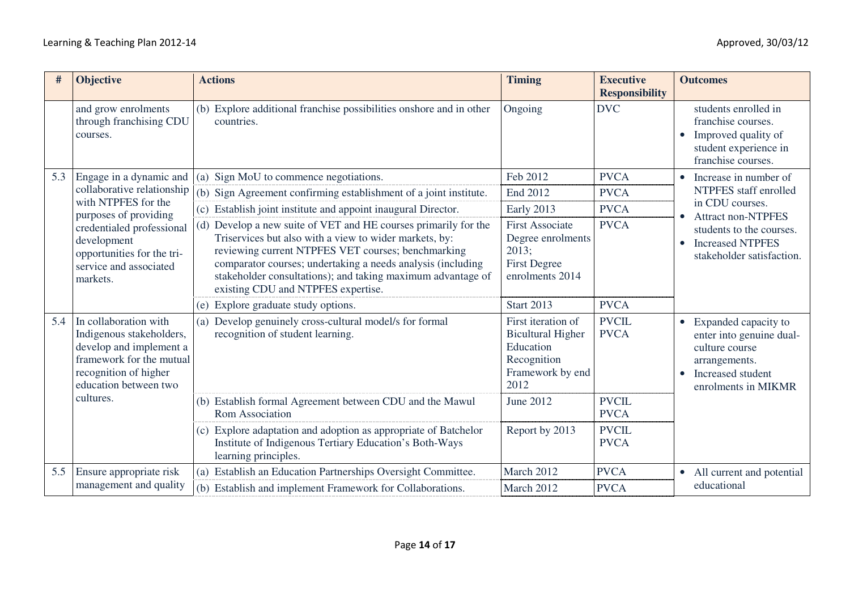| #   | <b>Objective</b>                                                                                                                                                                                                      | <b>Actions</b>                                                                                                                                                                                                                                                                                                                                      | <b>Timing</b>                                                                                          | <b>Executive</b><br><b>Responsibility</b> | <b>Outcomes</b>                                                                                                                                            |
|-----|-----------------------------------------------------------------------------------------------------------------------------------------------------------------------------------------------------------------------|-----------------------------------------------------------------------------------------------------------------------------------------------------------------------------------------------------------------------------------------------------------------------------------------------------------------------------------------------------|--------------------------------------------------------------------------------------------------------|-------------------------------------------|------------------------------------------------------------------------------------------------------------------------------------------------------------|
|     | and grow enrolments<br>through franchising CDU<br>courses.                                                                                                                                                            | (b) Explore additional franchise possibilities on shore and in other<br>countries.                                                                                                                                                                                                                                                                  | Ongoing                                                                                                | <b>DVC</b>                                | students enrolled in<br>franchise courses.<br>Improved quality of<br>$\bullet$<br>student experience in<br>franchise courses.                              |
| 5.3 | Engage in a dynamic and<br>collaborative relationship<br>with NTPFES for the<br>purposes of providing<br>credentialed professional<br>development<br>opportunities for the tri-<br>service and associated<br>markets. | Sign MoU to commence negotiations.<br>(a)                                                                                                                                                                                                                                                                                                           | Feb 2012                                                                                               | <b>PVCA</b>                               | Increase in number of<br>$\bullet$                                                                                                                         |
|     |                                                                                                                                                                                                                       | (b) Sign Agreement confirming establishment of a joint institute.                                                                                                                                                                                                                                                                                   | End 2012                                                                                               | <b>PVCA</b>                               | NTPFES staff enrolled                                                                                                                                      |
|     |                                                                                                                                                                                                                       | (c) Establish joint institute and appoint inaugural Director.                                                                                                                                                                                                                                                                                       | Early 2013                                                                                             | <b>PVCA</b>                               | in CDU courses.<br><b>Attract non-NTPFES</b><br>$\bullet$<br>students to the courses.<br><b>Increased NTPFES</b><br>$\bullet$<br>stakeholder satisfaction. |
|     |                                                                                                                                                                                                                       | (d) Develop a new suite of VET and HE courses primarily for the<br>Triservices but also with a view to wider markets, by:<br>reviewing current NTPFES VET courses; benchmarking<br>comparator courses; undertaking a needs analysis (including<br>stakeholder consultations); and taking maximum advantage of<br>existing CDU and NTPFES expertise. | <b>First Associate</b><br>Degree enrolments<br>2013;<br><b>First Degree</b><br>enrolments 2014         | <b>PVCA</b>                               |                                                                                                                                                            |
|     |                                                                                                                                                                                                                       | (e) Explore graduate study options.                                                                                                                                                                                                                                                                                                                 | <b>Start 2013</b>                                                                                      | <b>PVCA</b>                               |                                                                                                                                                            |
| 5.4 | In collaboration with<br>Indigenous stakeholders,<br>develop and implement a<br>framework for the mutual<br>recognition of higher<br>education between two                                                            | Develop genuinely cross-cultural model/s for formal<br>(a)<br>recognition of student learning.                                                                                                                                                                                                                                                      | First iteration of<br><b>Bicultural Higher</b><br>Education<br>Recognition<br>Framework by end<br>2012 | <b>PVCIL</b><br><b>PVCA</b>               | • Expanded capacity to<br>enter into genuine dual-<br>culture course<br>arrangements.<br>Increased student<br>$\bullet$<br>enrolments in MIKMR             |
|     | cultures.                                                                                                                                                                                                             | (b) Establish formal Agreement between CDU and the Mawul<br><b>Rom Association</b>                                                                                                                                                                                                                                                                  | June 2012                                                                                              | <b>PVCIL</b><br><b>PVCA</b>               |                                                                                                                                                            |
|     |                                                                                                                                                                                                                       | (c) Explore adaptation and adoption as appropriate of Batchelor<br>Institute of Indigenous Tertiary Education's Both-Ways<br>learning principles.                                                                                                                                                                                                   | Report by 2013                                                                                         | <b>PVCIL</b><br><b>PVCA</b>               |                                                                                                                                                            |
| 5.5 | Ensure appropriate risk                                                                                                                                                                                               | Establish an Education Partnerships Oversight Committee.<br>(a)                                                                                                                                                                                                                                                                                     | March 2012                                                                                             | <b>PVCA</b>                               | • All current and potential<br>educational                                                                                                                 |
|     | management and quality                                                                                                                                                                                                | (b) Establish and implement Framework for Collaborations.                                                                                                                                                                                                                                                                                           | March 2012                                                                                             | <b>PVCA</b>                               |                                                                                                                                                            |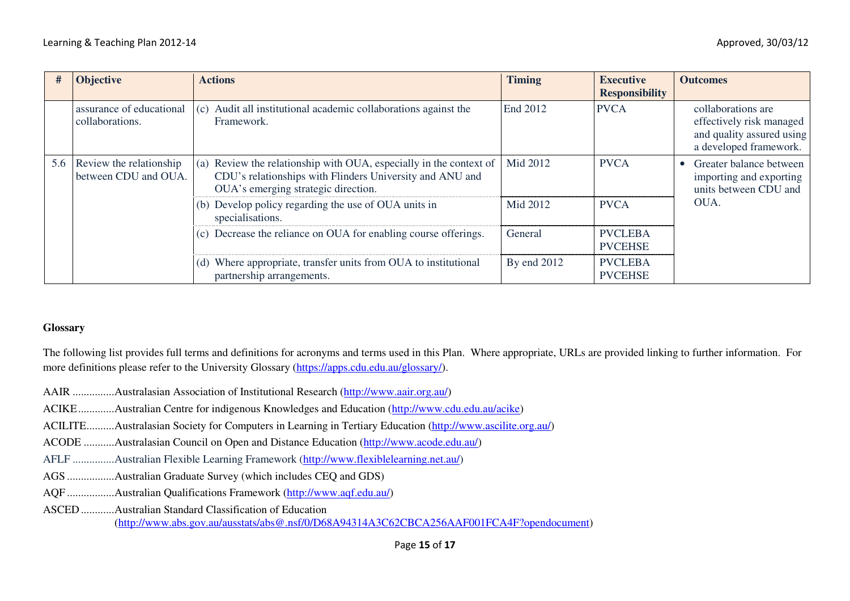| #   | <b>Objective</b>                                | <b>Actions</b>                                                                                                                                                        | <b>Timing</b> | <b>Executive</b><br><b>Responsibility</b> | <b>Outcomes</b>                                                                                       |
|-----|-------------------------------------------------|-----------------------------------------------------------------------------------------------------------------------------------------------------------------------|---------------|-------------------------------------------|-------------------------------------------------------------------------------------------------------|
|     | assurance of educational<br>collaborations.     | (c) Audit all institutional academic collaborations against the<br>Framework.                                                                                         | End 2012      | <b>PVCA</b>                               | collaborations are<br>effectively risk managed<br>and quality assured using<br>a developed framework. |
| 5.6 | Review the relationship<br>between CDU and OUA. | (a) Review the relationship with OUA, especially in the context of<br>CDU's relationships with Flinders University and ANU and<br>OUA's emerging strategic direction. | Mid 2012      | <b>PVCA</b>                               | Greater balance between<br>importing and exporting<br>units between CDU and                           |
|     |                                                 | (b) Develop policy regarding the use of OUA units in<br>specialisations.                                                                                              | Mid 2012      | <b>PVCA</b>                               | OUA.                                                                                                  |
|     |                                                 | (c) Decrease the reliance on OUA for enabling course offerings.                                                                                                       | General       | <b>PVCLEBA</b><br><b>PVCEHSE</b>          |                                                                                                       |
|     |                                                 | Where appropriate, transfer units from OUA to institutional<br>(d)<br>partnership arrangements.                                                                       | By end 2012   | <b>PVCLEBA</b><br><b>PVCEHSE</b>          |                                                                                                       |

#### **Glossary**

The following list provides full terms and definitions for acronyms and terms used in this Plan. Where appropriate, URLs are provided linking to further information. For more definitions please refer to the University Glossary (https://apps.cdu.edu.au/glossary/).

- AAIR ............... Australasian Association of Institutional Research (http://www.aair.org.au/)
- ACIKE ............. Australian Centre for indigenous Knowledges and Education (http://www.cdu.edu.au/acike)
- ACILITE .......... Australasian Society for Computers in Learning in Tertiary Education (http://www.ascilite.org.au/)
- ACODE ........... Australasian Council on Open and Distance Education (http://www.acode.edu.au/)
- AFLF ............... Australian Flexible Learning Framework (http://www.flexiblelearning.net.au/)
- AGS ................. Australian Graduate Survey (which includes CEQ and GDS)
- AQF ................. Australian Qualifications Framework (http://www.aqf.edu.au/)
- ASCED ............ Australian Standard Classification of Education (http://www.abs.gov.au/ausstats/abs@.nsf/0/D68A94314A3C62CBCA256AAF001FCA4F?opendocument)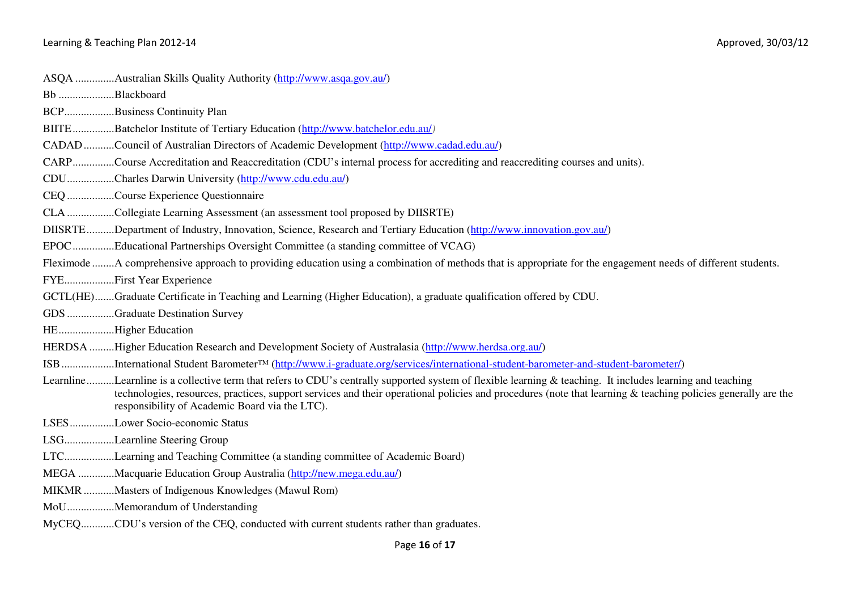| Bb Blackboard                                                                                                                                                                                                                                                                                                                                                                |
|------------------------------------------------------------------------------------------------------------------------------------------------------------------------------------------------------------------------------------------------------------------------------------------------------------------------------------------------------------------------------|
| BCPBusiness Continuity Plan                                                                                                                                                                                                                                                                                                                                                  |
| BIITE Batchelor Institute of Tertiary Education (http://www.batchelor.edu.au/)                                                                                                                                                                                                                                                                                               |
| CADAD Council of Australian Directors of Academic Development (http://www.cadad.edu.au/)                                                                                                                                                                                                                                                                                     |
| CARPCourse Accreditation and Reaccreditation (CDU's internal process for accrediting and reaccrediting courses and units).                                                                                                                                                                                                                                                   |
| CDUCharles Darwin University (http://www.cdu.edu.au/)                                                                                                                                                                                                                                                                                                                        |
| CEQ Course Experience Questionnaire                                                                                                                                                                                                                                                                                                                                          |
| CLA Collegiate Learning Assessment (an assessment tool proposed by DIISRTE)                                                                                                                                                                                                                                                                                                  |
| DIISRTEDepartment of Industry, Innovation, Science, Research and Tertiary Education (http://www.innovation.gov.au/)                                                                                                                                                                                                                                                          |
| EPOCEducational Partnerships Oversight Committee (a standing committee of VCAG)                                                                                                                                                                                                                                                                                              |
| Fleximode A comprehensive approach to providing education using a combination of methods that is appropriate for the engagement needs of different students.                                                                                                                                                                                                                 |
| FYEFirst Year Experience                                                                                                                                                                                                                                                                                                                                                     |
| GCTL(HE)Graduate Certificate in Teaching and Learning (Higher Education), a graduate qualification offered by CDU.                                                                                                                                                                                                                                                           |
| GDS Graduate Destination Survey                                                                                                                                                                                                                                                                                                                                              |
| HEHigher Education                                                                                                                                                                                                                                                                                                                                                           |
| HERDSA Higher Education Research and Development Society of Australasia (http://www.herdsa.org.au/)                                                                                                                                                                                                                                                                          |
| ISBInternational Student Barometer <sup>TM</sup> (http://www.i-graduate.org/services/international-student-barometer-and-student-barometer/)                                                                                                                                                                                                                                 |
| LearnlineLearnline is a collective term that refers to CDU's centrally supported system of flexible learning & teaching. It includes learning and teaching<br>technologies, resources, practices, support services and their operational policies and procedures (note that learning & teaching policies generally are the<br>responsibility of Academic Board via the LTC). |
| LSESLower Socio-economic Status                                                                                                                                                                                                                                                                                                                                              |
| LSGLearnline Steering Group                                                                                                                                                                                                                                                                                                                                                  |
| LTCLearning and Teaching Committee (a standing committee of Academic Board)                                                                                                                                                                                                                                                                                                  |
| MEGA Macquarie Education Group Australia (http://new.mega.edu.au/)                                                                                                                                                                                                                                                                                                           |
| MIKMR Masters of Indigenous Knowledges (Mawul Rom)                                                                                                                                                                                                                                                                                                                           |
| MoUMemorandum of Understanding                                                                                                                                                                                                                                                                                                                                               |
| MyCEQCDU's version of the CEQ, conducted with current students rather than graduates.                                                                                                                                                                                                                                                                                        |